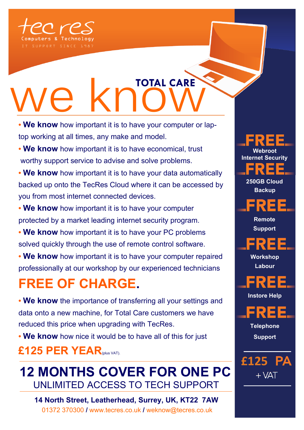

# **We know how important it is to have vour computer or I**

- **We know** how important it is to have your computer or laptop working at all times, any make and model.
- **We know** how important it is to have economical, trust worthy support service to advise and solve problems.
- **We know** how important it is to have your data automatically backed up onto the TecRes Cloud where it can be accessed by you from most internet connected devices.
- **We know** how important it is to have your computer protected by a market leading internet security program.
- **We know** how important it is to have your PC problems solved quickly through the use of remote control software.
- **We know** how important it is to have your computer repaired professionally at our workshop by our experienced technicians

## **FREE OF CHARGE.**

**• We know** the importance of transferring all your settings and data onto a new machine, for Total Care customers we have reduced this price when upgrading with TecRes.

**• We know** how nice it would be to have all of this for just

### **£125 PER YEAR**(plus VAT).

## **12 MONTHS COVER FOR ONE PC** UNLIMITED ACCESS TO TECH SUPPORT

**14 North Street, Leatherhead, Surrey, UK, KT22 7AW** 01372 370300 **/** www.tecres.co.uk **/** weknow@tecres.co.uk